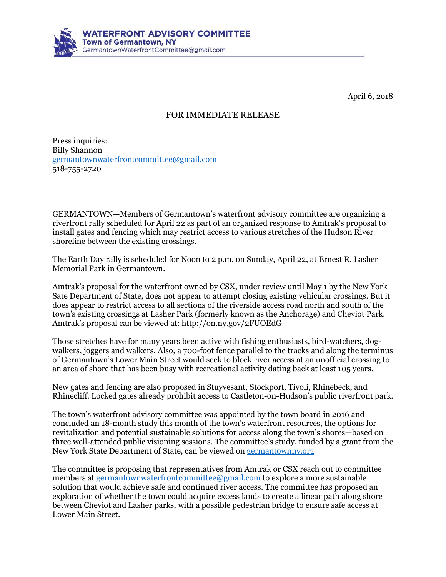

April 6, 2o18

## FOR IMMEDIATE RELEASE

Press inquiries: Billy Shannon [germantownwaterfrontcommittee@gmail.com](mailto:germantownwaterfrontcommittee@gmail.com) 518-755-2720

GERMANTOWN—Members of Germantown's waterfront advisory committee are organizing a riverfront rally scheduled for April 22 as part of an organized response to Amtrak's proposal to install gates and fencing which may restrict access to various stretches of the Hudson River shoreline between the existing crossings.

The Earth Day rally is scheduled for Noon to 2 p.m. on Sunday, April 22, at Ernest R. Lasher Memorial Park in Germantown.

Amtrak's proposal for the waterfront owned by CSX, under review until May 1 by the New York Sate Department of State, does not appear to attempt closing existing vehicular crossings. But it does appear to restrict access to all sections of the riverside access road north and south of the town's existing crossings at Lasher Park (formerly known as the Anchorage) and Cheviot Park. Amtrak's proposal can be viewed at: http://on.ny.gov/2FUOEdG

Those stretches have for many years been active with fishing enthusiasts, bird-watchers, dogwalkers, joggers and walkers. Also, a 700-foot fence parallel to the tracks and along the terminus of Germantown's Lower Main Street would seek to block river access at an unofficial crossing to an area of shore that has been busy with recreational activity dating back at least 105 years.

New gates and fencing are also proposed in Stuyvesant, Stockport, Tivoli, Rhinebeck, and Rhinecliff. Locked gates already prohibit access to Castleton-on-Hudson's public riverfront park.

The town's waterfront advisory committee was appointed by the town board in 2016 and concluded an 18-month study this month of the town's waterfront resources, the options for revitalization and potential sustainable solutions for access along the town's shores—based on three well-attended public visioning sessions. The committee's study, funded by a grant from the New York State Department of State, can be viewed on [germantownny.org](http://germantownny.org/)

The committee is proposing that representatives from Amtrak or CSX reach out to committee members at [germantownwaterfrontcommittee@gmail.com](mailto:germantownwaterfrontcommittee@gmail.com) to explore a more sustainable solution that would achieve safe and continued river access. The committee has proposed an exploration of whether the town could acquire excess lands to create a linear path along shore between Cheviot and Lasher parks, with a possible pedestrian bridge to ensure safe access at Lower Main Street.